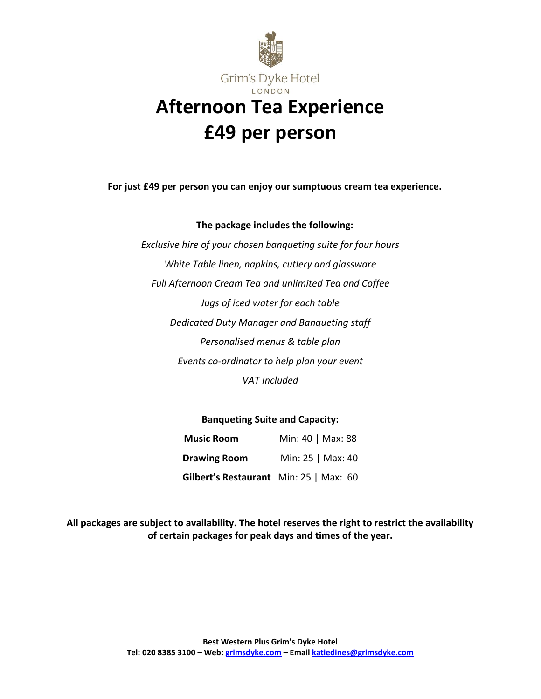

**For just £49 per person you can enjoy our sumptuous cream tea experience.**

## **The package includes the following:**

*Exclusive hire of your chosen banqueting suite for four hours White Table linen, napkins, cutlery and glassware Full Afternoon Cream Tea and unlimited Tea and Coffee Jugs of iced water for each table Dedicated Duty Manager and Banqueting staff Personalised menus & table plan Events co-ordinator to help plan your event VAT Included*

## **Banqueting Suite and Capacity:**

| <b>Music Room</b>                      | Min: 40   Max: 88 |
|----------------------------------------|-------------------|
| <b>Drawing Room</b>                    | Min: 25   Max: 40 |
| Gilbert's Restaurant Min: 25   Max: 60 |                   |

**All packages are subject to availability. The hotel reserves the right to restrict the availability of certain packages for peak days and times of the year.**